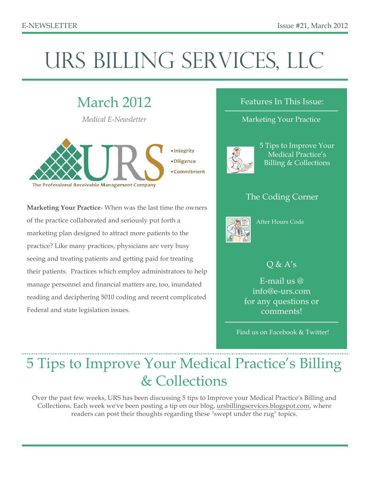# URS BILLING SERVICES, LLC

## March 2012

*Medical E-Newsletter*



**Marketing Your Practice**- When was the last time the owners of the practice collaborated and seriously put forth a marketing plan designed to attract more patients to the practice? Like many practices, physicians are very busy seeing and treating patients and getting paid for treating their patients. Practices which employ administrators to help manage personnel and financial matters are, too, inundated reading and deciphering 5010 coding and recent complicated Federal and state legislation issues.

#### Features In This Issue:

#### Marketing Your Practice



5 Tips to Improve Your Medical Practice's Billing & Collections

### The Coding Corner



After Hours Code

### $Q & A's$

E-mail us @ info@e-urs.com for any questions or comments!

Find us on Facebook & Twitter!

# 5 Tips to Improve Your Medical Practice's Billing & Collections

Over the past few weeks, URS has been discussing 5 tips to Improve your Medical Practice's Billing and Collections. Each week we've been posting a tip on our blog, ursbillingservices.blogspot.com, where readers can post their thoughts regarding these "swept under the rug" topics.